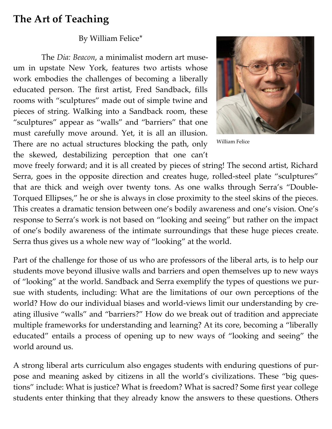## **The Art of Teaching**

## By William Felice\*

 The *Dia: Beacon*, a minimalist modern art museum in upstate New York, features two artists whose work embodies the challenges of becoming a liberally educated person. The first artist, Fred Sandback, fills rooms with "sculptures" made out of simple twine and pieces of string. Walking into a Sandback room, these "sculptures" appear as "walls" and "barriers" that one must carefully move around. Yet, it is all an illusion. There are no actual structures blocking the path, only the skewed, destabilizing perception that one can't



William Felice

move freely forward; and it is all created by pieces of string! The second artist, Richard Serra, goes in the opposite direction and creates huge, rolled-steel plate "sculptures" that are thick and weigh over twenty tons. As one walks through Serra's "Double-Torqued Ellipses," he or she is always in close proximity to the steel skins of the pieces. This creates a dramatic tension between one's bodily awareness and one's vision. One's response to Serra's work is not based on "looking and seeing" but rather on the impact of one's bodily awareness of the intimate surroundings that these huge pieces create. Serra thus gives us a whole new way of "looking" at the world.

Part of the challenge for those of us who are professors of the liberal arts, is to help our students move beyond illusive walls and barriers and open themselves up to new ways of "looking" at the world. Sandback and Serra exemplify the types of questions we pursue with students, including: What are the limitations of our own perceptions of the world? How do our individual biases and world-views limit our understanding by creating illusive "walls" and "barriers?" How do we break out of tradition and appreciate multiple frameworks for understanding and learning? At its core, becoming a "liberally educated" entails a process of opening up to new ways of "looking and seeing" the world around us.

A strong liberal arts curriculum also engages students with enduring questions of purpose and meaning asked by citizens in all the world's civilizations. These "big questions" include: What is justice? What is freedom? What is sacred? Some first year college students enter thinking that they already know the answers to these questions. Others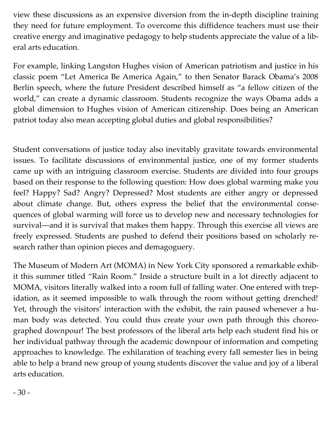view these discussions as an expensive diversion from the in-depth discipline training they need for future employment. To overcome this diffidence teachers must use their creative energy and imaginative pedagogy to help students appreciate the value of a liberal arts education.

For example, linking Langston Hughes vision of American patriotism and justice in his classic poem "Let America Be America Again," to then Senator Barack Obama's 2008 Berlin speech, where the future President described himself as "a fellow citizen of the world," can create a dynamic classroom. Students recognize the ways Obama adds a global dimension to Hughes vision of American citizenship. Does being an American patriot today also mean accepting global duties and global responsibilities?

Student conversations of justice today also inevitably gravitate towards environmental issues. To facilitate discussions of environmental justice, one of my former students came up with an intriguing classroom exercise. Students are divided into four groups based on their response to the following question: How does global warming make you feel? Happy? Sad? Angry? Depressed? Most students are either angry or depressed about climate change. But, others express the belief that the environmental consequences of global warming will force us to develop new and necessary technologies for survival—and it is survival that makes them happy. Through this exercise all views are freely expressed. Students are pushed to defend their positions based on scholarly research rather than opinion pieces and demagoguery.

The Museum of Modern Art (MOMA) in New York City sponsored a remarkable exhibit this summer titled "Rain Room." Inside a structure built in a lot directly adjacent to MOMA, visitors literally walked into a room full of falling water. One entered with trepidation, as it seemed impossible to walk through the room without getting drenched! Yet, through the visitors' interaction with the exhibit, the rain paused whenever a human body was detected. You could thus create your own path through this choreographed downpour! The best professors of the liberal arts help each student find his or her individual pathway through the academic downpour of information and competing approaches to knowledge. The exhilaration of teaching every fall semester lies in being able to help a brand new group of young students discover the value and joy of a liberal arts education.